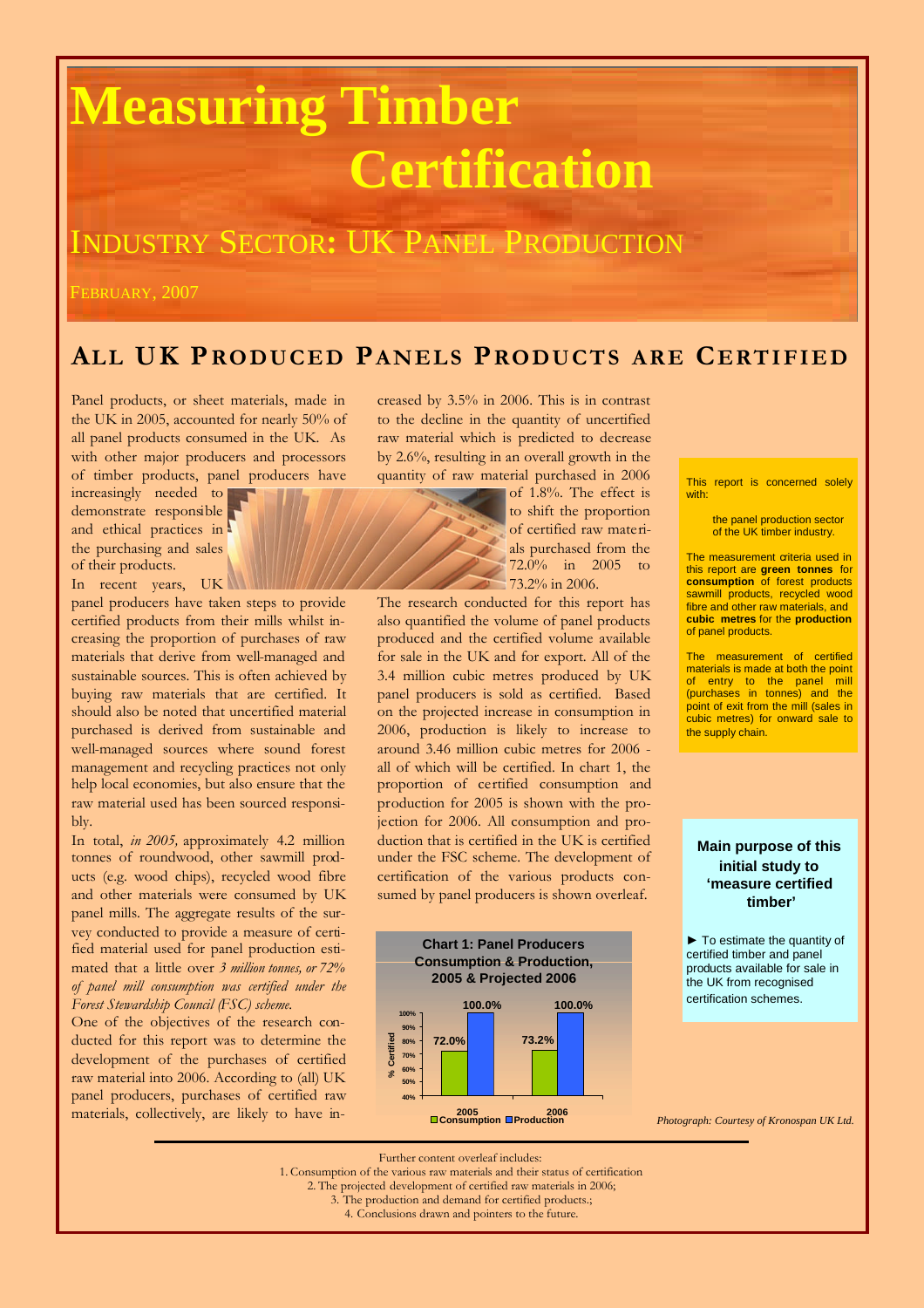# **Measuring Timber Certification**

## INDUSTRY SECTOR**:** UK PANEL PRODUCTION

FEBRUARY, 2007

### **ALL UK PROD UCED PA NELS PROD UCT S A RE CERTI FIE D**

Panel products, or sheet materials, made in the UK in 2005, accounted for nearly 50% of all panel products consumed in the UK. As with other major producers and processors of timber products, panel producers have

increasingly needed to demonstrate responsible and ethical practices in the purchasing and sales of their products. In recent years, UK

panel producers have taken steps to provide certified products from their mills whilst increasing the proportion of purchases of raw materials that derive from well-managed and sustainable sources. This is often achieved by buying raw materials that are certified. It should also be noted that uncertified material purchased is derived from sustainable and well-managed sources where sound forest management and recycling practices not only help local economies, but also ensure that the raw material used has been sourced responsibly.

In total, *in 2005,* approximately 4.2 million tonnes of roundwood, other sawmill products (e.g. wood chips), recycled wood fibre and other materials were consumed by UK panel mills. The aggregate results of the survey conducted to provide a measure of certified material used for panel production estimated that a little over *3 million tonnes, or 72% of panel mill consumption was certified under the Forest Stewardship Council (FSC) scheme.*

One of the objectives of the research conducted for this report was to determine the development of the purchases of certified raw material into 2006. According to (all) UK panel producers, purchases of certified raw materials, collectively, are likely to have increased by 3.5% in 2006. This is in contrast to the decline in the quantity of uncertified raw material which is predicted to decrease by 2.6%, resulting in an overall growth in the quantity of raw material purchased in 2006

of 1.8%. The effect is to shift the proportion of certified raw materials purchased from the 72.0% in 2005 to 73.2% in 2006.

The research conducted for this report has also quantified the volume of panel products produced and the certified volume available for sale in the UK and for export. All of the 3.4 million cubic metres produced by UK panel producers is sold as certified. Based on the projected increase in consumption in 2006, production is likely to increase to around 3.46 million cubic metres for 2006 all of which will be certified. In chart 1, the proportion of certified consumption and production for 2005 is shown with the projection for 2006. All consumption and production that is certified in the UK is certified under the FSC scheme. The development of certification of the various products consumed by panel producers is shown overleaf.



This report is concerned solely with:

> the panel production sector of the UK timber industry.

The measurement criteria used in this report are **green tonnes** for **consumption** of forest products sawmill products, recycled wood fibre and other raw materials, and **cubic metres** for the **production** of panel products.

The measurement of certified materials is made at both the point of entry to the panel mill (purchases in tonnes) and the point of exit from the mill (sales in cubic metres) for onward sale to the supply chain.

#### **Main purpose of this initial study to 'measure certified timber'**

► To estimate the quantity of certified timber and panel products available for sale in the UK from recognised certification schemes.

*Photograph: Courtesy of Kronospan UK Ltd.*

Further content overleaf includes:

1. Consumption of the various raw materials and their status of certification

2. The projected development of certified raw materials in 2006;

3. The production and demand for certified products.;

4. Conclusions drawn and pointers to the future.